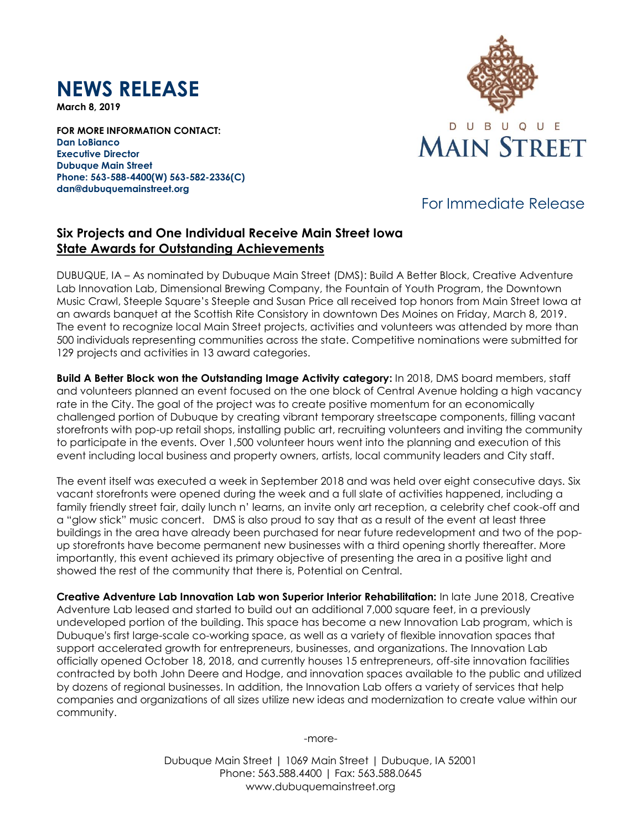## **NEWS RELEASE**

**March 8, 2019**

**FOR MORE INFORMATION CONTACT: Dan LoBianco Executive Director Dubuque Main Street Phone: 563-588-4400(W) 563-582-2336(C) dan@dubuquemainstreet.org**



## For Immediate Release

## **Six Projects and One Individual Receive Main Street Iowa State Awards for Outstanding Achievements**

DUBUQUE, IA – As nominated by Dubuque Main Street (DMS): Build A Better Block, Creative Adventure Lab Innovation Lab, Dimensional Brewing Company, the Fountain of Youth Program, the Downtown Music Crawl, Steeple Square's Steeple and Susan Price all received top honors from Main Street Iowa at an awards banquet at the Scottish Rite Consistory in downtown Des Moines on Friday, March 8, 2019. The event to recognize local Main Street projects, activities and volunteers was attended by more than 500 individuals representing communities across the state. Competitive nominations were submitted for 129 projects and activities in 13 award categories.

**Build A Better Block won the Outstanding Image Activity category:** In 2018, DMS board members, staff and volunteers planned an event focused on the one block of Central Avenue holding a high vacancy rate in the City. The goal of the project was to create positive momentum for an economically challenged portion of Dubuque by creating vibrant temporary streetscape components, filling vacant storefronts with pop-up retail shops, installing public art, recruiting volunteers and inviting the community to participate in the events. Over 1,500 volunteer hours went into the planning and execution of this event including local business and property owners, artists, local community leaders and City staff.

The event itself was executed a week in September 2018 and was held over eight consecutive days. Six vacant storefronts were opened during the week and a full slate of activities happened, including a family friendly street fair, daily lunch n' learns, an invite only art reception, a celebrity chef cook-off and a "glow stick" music concert. DMS is also proud to say that as a result of the event at least three buildings in the area have already been purchased for near future redevelopment and two of the popup storefronts have become permanent new businesses with a third opening shortly thereafter. More importantly, this event achieved its primary objective of presenting the area in a positive light and showed the rest of the community that there is, Potential on Central.

**Creative Adventure Lab Innovation Lab won Superior Interior Rehabilitation:** In late June 2018, Creative Adventure Lab leased and started to build out an additional 7,000 square feet, in a previously undeveloped portion of the building. This space has become a new Innovation Lab program, which is Dubuque's first large-scale co-working space, as well as a variety of flexible innovation spaces that support accelerated growth for entrepreneurs, businesses, and organizations. The Innovation Lab officially opened October 18, 2018, and currently houses 15 entrepreneurs, off-site innovation facilities contracted by both John Deere and Hodge, and innovation spaces available to the public and utilized by dozens of regional businesses. In addition, the Innovation Lab offers a variety of services that help companies and organizations of all sizes utilize new ideas and modernization to create value within our community.

-more-

Dubuque Main Street | 1069 Main Street | Dubuque, IA 52001 Phone: 563.588.4400 | Fax: 563.588.0645 www.dubuquemainstreet.org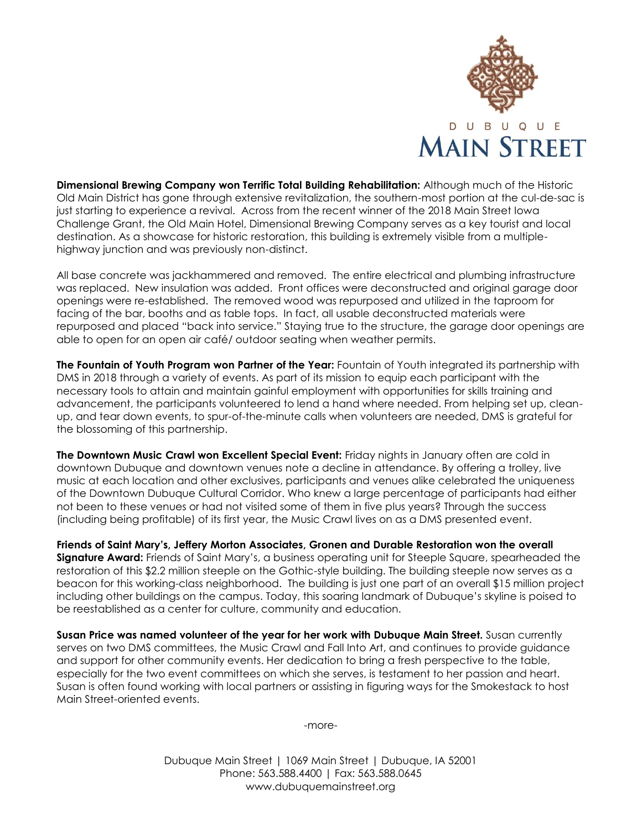

**Dimensional Brewing Company won Terrific Total Building Rehabilitation:** Although much of the Historic Old Main District has gone through extensive revitalization, the southern-most portion at the cul-de-sac is just starting to experience a revival. Across from the recent winner of the 2018 Main Street Iowa Challenge Grant, the Old Main Hotel, Dimensional Brewing Company serves as a key tourist and local destination. As a showcase for historic restoration, this building is extremely visible from a multiplehighway junction and was previously non-distinct.

All base concrete was jackhammered and removed. The entire electrical and plumbing infrastructure was replaced. New insulation was added. Front offices were deconstructed and original garage door openings were re-established. The removed wood was repurposed and utilized in the taproom for facing of the bar, booths and as table tops. In fact, all usable deconstructed materials were repurposed and placed "back into service." Staying true to the structure, the garage door openings are able to open for an open air café/ outdoor seating when weather permits.

**The Fountain of Youth Program won Partner of the Year:** Fountain of Youth integrated its partnership with DMS in 2018 through a variety of events. As part of its mission to equip each participant with the necessary tools to attain and maintain gainful employment with opportunities for skills training and advancement, the participants volunteered to lend a hand where needed. From helping set up, cleanup, and tear down events, to spur-of-the-minute calls when volunteers are needed, DMS is grateful for the blossoming of this partnership.

**The Downtown Music Crawl won Excellent Special Event:** Friday nights in January often are cold in downtown Dubuque and downtown venues note a decline in attendance. By offering a trolley, live music at each location and other exclusives, participants and venues alike celebrated the uniqueness of the Downtown Dubuque Cultural Corridor. Who knew a large percentage of participants had either not been to these venues or had not visited some of them in five plus years? Through the success (including being profitable) of its first year, the Music Crawl lives on as a DMS presented event.

**Friends of Saint Mary's, Jeffery Morton Associates, Gronen and Durable Restoration won the overall Signature Award:** Friends of Saint Mary's, a business operating unit for Steeple Square, spearheaded the restoration of this \$2.2 million steeple on the Gothic-style building. The building steeple now serves as a beacon for this working-class neighborhood. The building is just one part of an overall \$15 million project including other buildings on the campus. Today, this soaring landmark of Dubuque's skyline is poised to be reestablished as a center for culture, community and education.

**Susan Price was named volunteer of the year for her work with Dubuque Main Street.** Susan currently serves on two DMS committees, the Music Crawl and Fall Into Art, and continues to provide guidance and support for other community events. Her dedication to bring a fresh perspective to the table, especially for the two event committees on which she serves, is testament to her passion and heart. Susan is often found working with local partners or assisting in figuring ways for the Smokestack to host Main Street-oriented events.

-more-

Dubuque Main Street | 1069 Main Street | Dubuque, IA 52001 Phone: 563.588.4400 | Fax: 563.588.0645 www.dubuquemainstreet.org